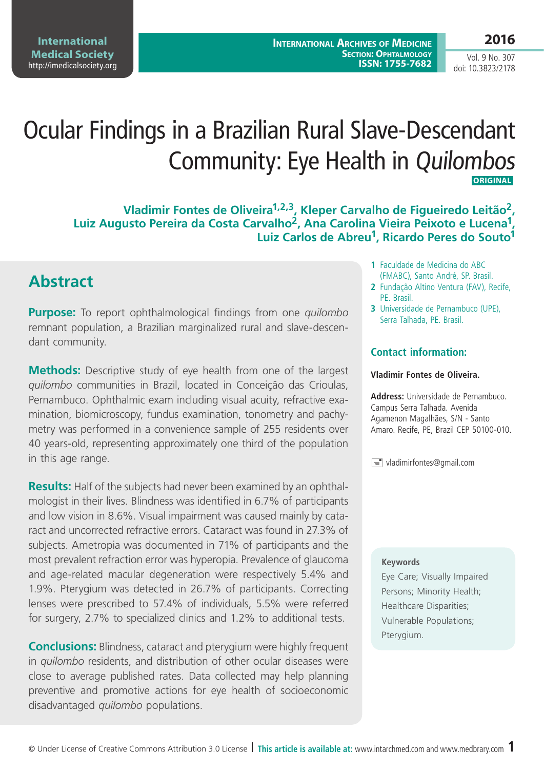**2016**

Vol. 9 No. 307 doi: 10.3823/2178

# Ocular Findings in a Brazilian Rural Slave-Descendant Community: Eye Health in Quilombos  **ORIGINAL**

**Vladimir Fontes de Oliveira1,2,3, Kleper Carvalho de Figueiredo Leitão2, Luiz Augusto Pereira da Costa Carvalho2, Ana Carolina Vieira Peixoto e Lucena1, Luiz Carlos de Abreu1, Ricardo Peres do Souto1**

# **Abstract**

**Purpose:** To report ophthalmological findings from one *quilombo* remnant population, a Brazilian marginalized rural and slave-descendant community.

**Methods:** Descriptive study of eye health from one of the largest *quilombo* communities in Brazil, located in Conceição das Crioulas, Pernambuco. Ophthalmic exam including visual acuity, refractive examination, biomicroscopy, fundus examination, tonometry and pachymetry was performed in a convenience sample of 255 residents over 40 years-old, representing approximately one third of the population in this age range.

**Results:** Half of the subjects had never been examined by an ophthalmologist in their lives. Blindness was identified in 6.7% of participants and low vision in 8.6%. Visual impairment was caused mainly by cataract and uncorrected refractive errors. Cataract was found in 27.3% of subjects. Ametropia was documented in 71% of participants and the most prevalent refraction error was hyperopia. Prevalence of glaucoma and age-related macular degeneration were respectively 5.4% and 1.9%. Pterygium was detected in 26.7% of participants. Correcting lenses were prescribed to 57.4% of individuals, 5.5% were referred for surgery, 2.7% to specialized clinics and 1.2% to additional tests.

**Conclusions:** Blindness, cataract and pterygium were highly frequent in *quilombo* residents, and distribution of other ocular diseases were close to average published rates. Data collected may help planning preventive and promotive actions for eye health of socioeconomic disadvantaged *quilombo* populations.

- **1** Faculdade de Medicina do ABC (FMABC), Santo André, SP. Brasil.
- **2** Fundação Altino Ventura (FAV), Recife, PE. Brasil.
- **3** Universidade de Pernambuco (UPE), Serra Talhada, PE. Brasil.

### **Contact information:**

#### **Vladimir Fontes de Oliveira.**

**Address:** Universidade de Pernambuco. Campus Serra Talhada. Avenida Agamenon Magalhães, S/N - Santo Amaro. Recife, PE, Brazil CEP 50100-010.

 $\equiv$  vladimirfontes@gmail.com

#### **Keywords**

Eye Care; Visually Impaired Persons; Minority Health; Healthcare Disparities; Vulnerable Populations; Pterygium.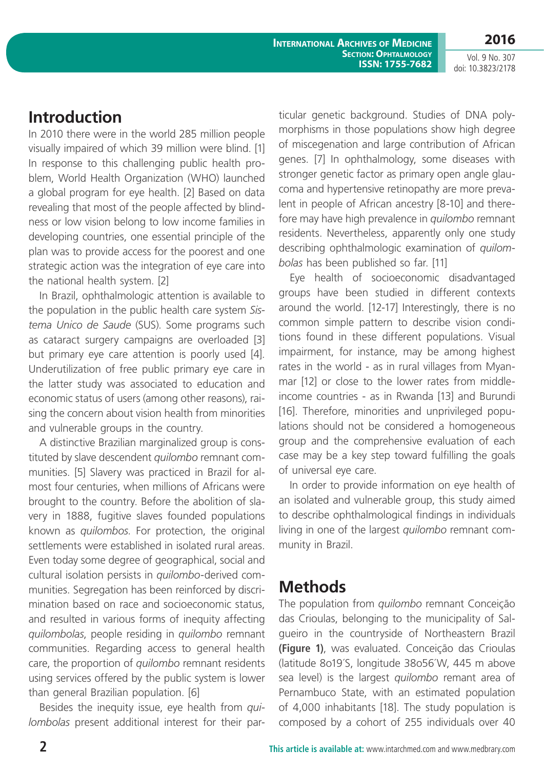**International Archives of Medicine Section: Ophtalmology ISSN: 1755-7682**

**2016** Vol. 9 No. 307

doi: 10.3823/2178

# **Introduction**

In 2010 there were in the world 285 million people visually impaired of which 39 million were blind. [1] In response to this challenging public health problem, World Health Organization (WHO) launched a global program for eye health. [2] Based on data revealing that most of the people affected by blindness or low vision belong to low income families in developing countries, one essential principle of the plan was to provide access for the poorest and one strategic action was the integration of eye care into the national health system. [2]

In Brazil, ophthalmologic attention is available to the population in the public health care system *Sistema Unico de Saude* (SUS). Some programs such as cataract surgery campaigns are overloaded [3] but primary eye care attention is poorly used [4]. Underutilization of free public primary eye care in the latter study was associated to education and economic status of users (among other reasons), raising the concern about vision health from minorities and vulnerable groups in the country.

A distinctive Brazilian marginalized group is constituted by slave descendent *quilombo* remnant communities. [5] Slavery was practiced in Brazil for almost four centuries, when millions of Africans were brought to the country. Before the abolition of slavery in 1888, fugitive slaves founded populations known as *quilombos*. For protection, the original settlements were established in isolated rural areas. Even today some degree of geographical, social and cultural isolation persists in *quilombo*-derived communities. Segregation has been reinforced by discrimination based on race and socioeconomic status, and resulted in various forms of inequity affecting *quilombolas*, people residing in *quilombo* remnant communities. Regarding access to general health care, the proportion of *quilombo* remnant residents using services offered by the public system is lower than general Brazilian population. [6]

Besides the inequity issue, eye health from *quilombolas* present additional interest for their par-

ticular genetic background. Studies of DNA polymorphisms in those populations show high degree of miscegenation and large contribution of African genes. [7] In ophthalmology, some diseases with stronger genetic factor as primary open angle glaucoma and hypertensive retinopathy are more prevalent in people of African ancestry [8-10] and therefore may have high prevalence in *quilombo* remnant residents. Nevertheless, apparently only one study describing ophthalmologic examination of *quilombolas* has been published so far. [11]

Eye health of socioeconomic disadvantaged groups have been studied in different contexts around the world. [12-17] Interestingly, there is no common simple pattern to describe vision conditions found in these different populations. Visual impairment, for instance, may be among highest rates in the world - as in rural villages from Myanmar [12] or close to the lower rates from middleincome countries - as in Rwanda [13] and Burundi [16]. Therefore, minorities and unprivileged populations should not be considered a homogeneous group and the comprehensive evaluation of each case may be a key step toward fulfilling the goals of universal eye care.

In order to provide information on eye health of an isolated and vulnerable group, this study aimed to describe ophthalmological findings in individuals living in one of the largest *quilombo* remnant community in Brazil.

### **Methods**

The population from *quilombo* remnant Conceição das Crioulas, belonging to the municipality of Salgueiro in the countryside of Northeastern Brazil **(Figure 1)**, was evaluated. Conceição das Crioulas (latitude 8o19´S, longitude 38o56´W, 445 m above sea level) is the largest *quilombo* remant area of Pernambuco State, with an estimated population of 4,000 inhabitants [18]. The study population is composed by a cohort of 255 individuals over 40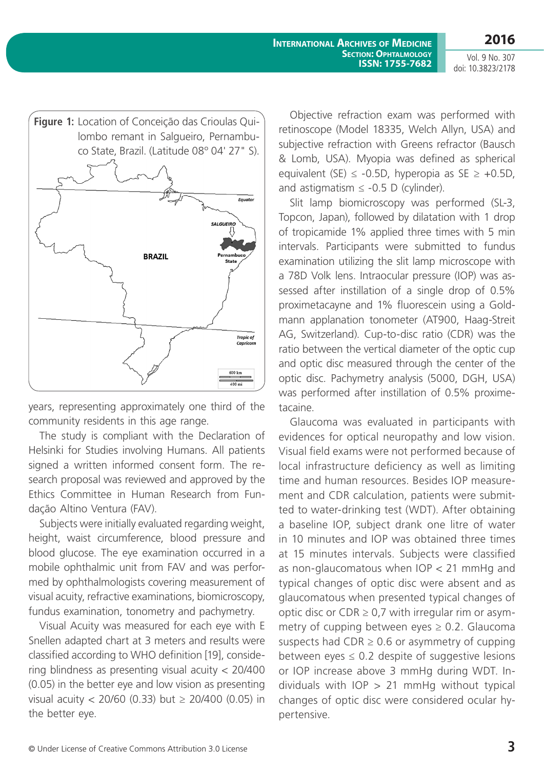**2016**

Vol. 9 No. 307 doi: 10.3823/2178



years, representing approximately one third of the community residents in this age range.

The study is compliant with the Declaration of Helsinki for Studies involving Humans. All patients signed a written informed consent form. The research proposal was reviewed and approved by the Ethics Committee in Human Research from Fundação Altino Ventura (FAV).

Subjects were initially evaluated regarding weight, height, waist circumference, blood pressure and blood glucose. The eye examination occurred in a mobile ophthalmic unit from FAV and was performed by ophthalmologists covering measurement of visual acuity, refractive examinations, biomicroscopy, fundus examination, tonometry and pachymetry.

Visual Acuity was measured for each eye with E Snellen adapted chart at 3 meters and results were classified according to WHO definition [19], considering blindness as presenting visual acuity < 20/400 (0.05) in the better eye and low vision as presenting visual acuity < 20/60 (0.33) but ≥ 20/400 (0.05) in the better eye.

Objective refraction exam was performed with retinoscope (Model 18335, Welch Allyn, USA) and subjective refraction with Greens refractor (Bausch & Lomb, USA). Myopia was defined as spherical equivalent (SE)  $\leq$  -0.5D, hyperopia as SE  $\geq$  +0.5D, and astigmatism  $\le$  -0.5 D (cylinder).

Slit lamp biomicroscopy was performed (SL-3, Topcon, Japan), followed by dilatation with 1 drop of tropicamide 1% applied three times with 5 min intervals. Participants were submitted to fundus examination utilizing the slit lamp microscope with a 78D Volk lens. Intraocular pressure (IOP) was assessed after instillation of a single drop of 0.5% proximetacayne and 1% fluorescein using a Goldmann applanation tonometer (AT900, Haag-Streit AG, Switzerland). Cup-to-disc ratio (CDR) was the ratio between the vertical diameter of the optic cup and optic disc measured through the center of the optic disc. Pachymetry analysis (5000, DGH, USA) was performed after instillation of 0.5% proximetacaine.

Glaucoma was evaluated in participants with evidences for optical neuropathy and low vision. Visual field exams were not performed because of local infrastructure deficiency as well as limiting time and human resources. Besides IOP measurement and CDR calculation, patients were submitted to water-drinking test (WDT). After obtaining a baseline IOP, subject drank one litre of water in 10 minutes and IOP was obtained three times at 15 minutes intervals. Subjects were classified as non-glaucomatous when IOP < 21 mmHg and typical changes of optic disc were absent and as glaucomatous when presented typical changes of optic disc or CDR  $\geq$  0,7 with irregular rim or asymmetry of cupping between eyes  $\geq$  0.2. Glaucoma suspects had  $CDR \geq 0.6$  or asymmetry of cupping between eyes  $\leq 0.2$  despite of suggestive lesions or IOP increase above 3 mmHg during WDT. Individuals with  $IOP > 21$  mmHg without typical changes of optic disc were considered ocular hypertensive.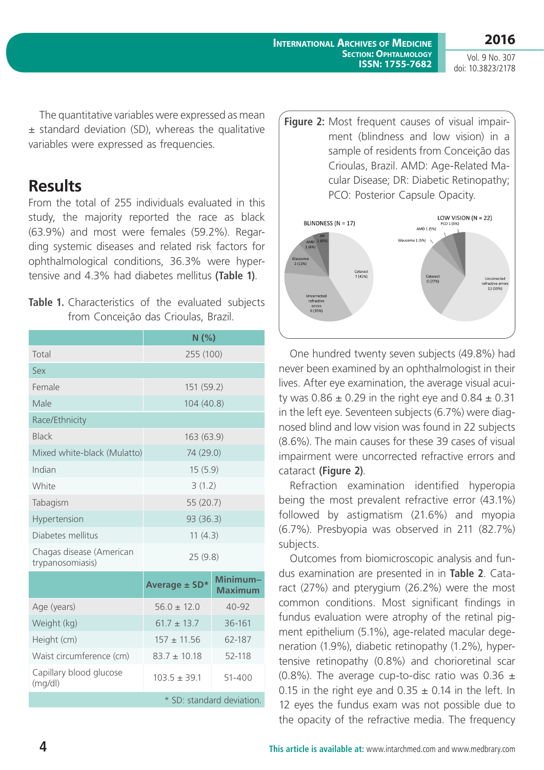**2016**

The quantitative variables were expressed as mean  $±$  standard deviation (SD), whereas the qualitative variables were expressed as frequencies.

### **Results**

From the total of 255 individuals evaluated in this study, the majority reported the race as black (63.9%) and most were females (59.2%). Regarding systemic diseases and related risk factors for ophthalmological conditions, 36.3% were hypertensive and 4.3% had diabetes mellitus **(Table 1)**.

**Table 1.** Characteristics of the evaluated subjects from Conceição das Crioulas, Brazil.

|                                              | N(%)             |                            |  |
|----------------------------------------------|------------------|----------------------------|--|
| Total                                        | 255 (100)        |                            |  |
| Sex                                          |                  |                            |  |
| Female                                       | 151 (59.2)       |                            |  |
| Male                                         | 104 (40.8)       |                            |  |
| Race/Ethnicity                               |                  |                            |  |
| <b>Black</b>                                 | 163 (63.9)       |                            |  |
| Mixed white-black (Mulatto)                  | 74 (29.0)        |                            |  |
| Indian                                       | 15(5.9)          |                            |  |
| White                                        | 3(1.2)           |                            |  |
| Tabagism                                     | 55 (20.7)        |                            |  |
| Hypertension                                 | 93 (36.3)        |                            |  |
| Diabetes mellitus                            | 11(4.3)          |                            |  |
| Chagas disease (American<br>trypanosomiasis) | 25(9.8)          |                            |  |
|                                              | Average ± SD*    | Minimum-<br><b>Maximum</b> |  |
| Age (years)                                  | $56.0 \pm 12.0$  | $40 - 92$                  |  |
| Weight (kg)                                  | $61.7 \pm 13.7$  | 36-161                     |  |
| Height (cm)                                  | $157 \pm 11.56$  | 62-187                     |  |
| Waist circumference (cm)                     | $83.7 \pm 10.18$ | 52-118                     |  |
| Capillary blood glucose<br>(mq/dl)           | $103.5 \pm 39.1$ | $51 - 400$                 |  |
| * SD: standard deviation.                    |                  |                            |  |

**Figure 2:** Most frequent causes of visual impairment (blindness and low vision) in a sample of residents from Conceição das Crioulas, Brazil. AMD: Age-Related Macular Disease; DR: Diabetic Retinopathy; PCO: Posterior Capsule Opacity.



One hundred twenty seven subjects (49.8%) had never been examined by an ophthalmologist in their lives. After eye examination, the average visual acuity was  $0.86 \pm 0.29$  in the right eye and  $0.84 \pm 0.31$ in the left eye. Seventeen subjects (6.7%) were diagnosed blind and low vision was found in 22 subjects (8.6%). The main causes for these 39 cases of visual impairment were uncorrected refractive errors and cataract **(Figure 2)**.

Refraction examination identified hyperopia being the most prevalent refractive error (43.1%) followed by astigmatism (21.6%) and myopia (6.7%). Presbyopia was observed in 211 (82.7%) subjects.

Outcomes from biomicroscopic analysis and fundus examination are presented in in **Table 2**. Cataract (27%) and pterygium (26.2%) were the most common conditions. Most significant findings in fundus evaluation were atrophy of the retinal pigment epithelium (5.1%), age-related macular degeneration (1.9%), diabetic retinopathy (1.2%), hypertensive retinopathy (0.8%) and chorioretinal scar (0.8%). The average cup-to-disc ratio was  $0.36 \pm$ 0.15 in the right eye and  $0.35 \pm 0.14$  in the left. In 12 eyes the fundus exam was not possible due to the opacity of the refractive media. The frequency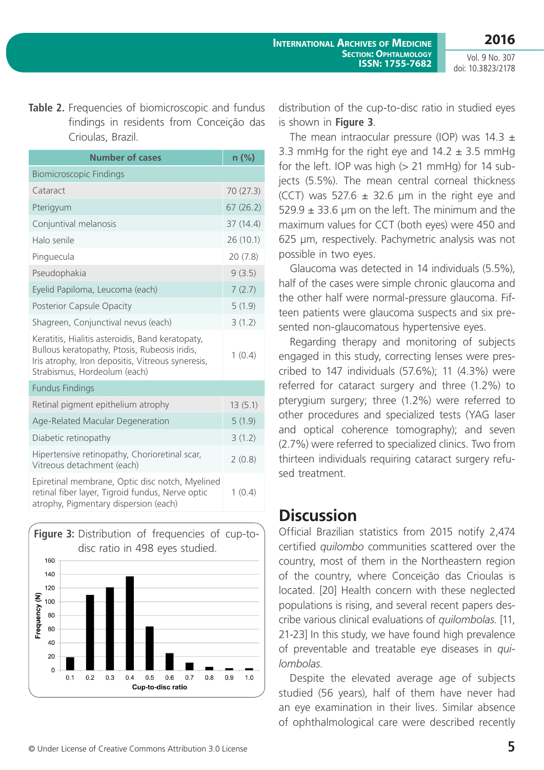**Table 2.** Frequencies of biomicroscopic and fundus findings in residents from Conceição das Crioulas, Brazil.

| <b>Number of cases</b>                                                                                                                                                                 | $n$ (%)   |
|----------------------------------------------------------------------------------------------------------------------------------------------------------------------------------------|-----------|
| <b>Biomicroscopic Findings</b>                                                                                                                                                         |           |
| Cataract                                                                                                                                                                               | 70 (27.3) |
| Pterigyum                                                                                                                                                                              | 67(26.2)  |
| Conjuntival melanosis                                                                                                                                                                  | 37(14.4)  |
| Halo senile                                                                                                                                                                            | 26 (10.1) |
| Pinguecula                                                                                                                                                                             | 20(7.8)   |
| Pseudophakia                                                                                                                                                                           | 9(3.5)    |
| Eyelid Papiloma, Leucoma (each)                                                                                                                                                        | 7(2.7)    |
| Posterior Capsule Opacity                                                                                                                                                              | 5(1.9)    |
| Shagreen, Conjunctival nevus (each)                                                                                                                                                    | 3(1.2)    |
| Keratitis, Hialitis asteroidis, Band keratopaty,<br>Bullous keratopathy, Ptosis, Rubeosis iridis,<br>Iris atrophy, Iron depositis, Vitreous syneresis,<br>Strabismus, Hordeolum (each) | 1(0.4)    |
| <b>Fundus Findings</b>                                                                                                                                                                 |           |
| Retinal pigment epithelium atrophy                                                                                                                                                     | 13(5.1)   |
| Age-Related Macular Degeneration                                                                                                                                                       | 5(1.9)    |
| Diabetic retinopathy                                                                                                                                                                   | 3(1.2)    |
| Hipertensive retinopathy, Chorioretinal scar,<br>Vitreous detachment (each)                                                                                                            | 2(0.8)    |
| Epiretinal membrane, Optic disc notch, Myelined<br>retinal fiber layer, Tigroid fundus, Nerve optic<br>atrophy, Pigmentary dispersion (each)                                           | 1(0.4)    |



distribution of the cup-to-disc ratio in studied eyes is shown in **Figure 3**.

The mean intraocular pressure (IOP) was  $14.3 \pm 1$ 3.3 mmHg for the right eye and  $14.2 \pm 3.5$  mmHg for the left. IOP was high  $(> 21 \text{ mmHg})$  for 14 subjects (5.5%). The mean central corneal thickness (CCT) was 527.6  $\pm$  32.6 µm in the right eye and  $529.9 \pm 33.6$  µm on the left. The minimum and the maximum values for CCT (both eyes) were 450 and 625 μm, respectively. Pachymetric analysis was not possible in two eyes.

Glaucoma was detected in 14 individuals (5.5%), half of the cases were simple chronic glaucoma and the other half were normal-pressure glaucoma. Fifteen patients were glaucoma suspects and six presented non-glaucomatous hypertensive eyes.

Regarding therapy and monitoring of subjects engaged in this study, correcting lenses were prescribed to 147 individuals (57.6%); 11 (4.3%) were referred for cataract surgery and three (1.2%) to pterygium surgery; three (1.2%) were referred to other procedures and specialized tests (YAG laser and optical coherence tomography); and seven (2.7%) were referred to specialized clinics. Two from thirteen individuals requiring cataract surgery refused treatment.

# **Discussion**

Official Brazilian statistics from 2015 notify 2,474 certified *quilombo* communities scattered over the country, most of them in the Northeastern region of the country, where Conceição das Crioulas is located. [20] Health concern with these neglected populations is rising, and several recent papers describe various clinical evaluations of *quilombolas*. [11, 21-23] In this study, we have found high prevalence of preventable and treatable eye diseases in *quilombolas*.

Despite the elevated average age of subjects studied (56 years), half of them have never had an eye examination in their lives. Similar absence of ophthalmological care were described recently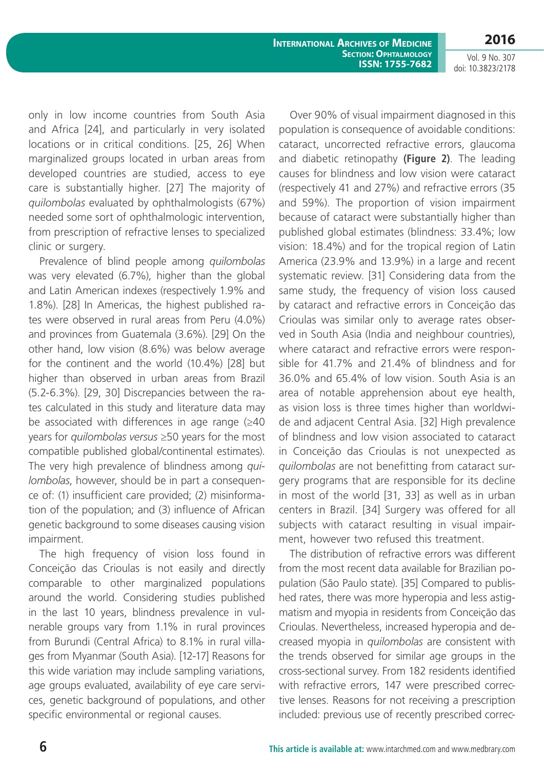**International Archives of Medicine Section: Ophtalmology ISSN: 1755-7682**

Vol. 9 No. 307 doi: 10.3823/2178

only in low income countries from South Asia and Africa [24], and particularly in very isolated locations or in critical conditions. [25, 26] When marginalized groups located in urban areas from developed countries are studied, access to eye care is substantially higher. [27] The majority of *quilombolas* evaluated by ophthalmologists (67%) needed some sort of ophthalmologic intervention, from prescription of refractive lenses to specialized clinic or surgery.

Prevalence of blind people among *quilombolas* was very elevated (6.7%), higher than the global and Latin American indexes (respectively 1.9% and 1.8%). [28] In Americas, the highest published rates were observed in rural areas from Peru (4.0%) and provinces from Guatemala (3.6%). [29] On the other hand, low vision (8.6%) was below average for the continent and the world (10.4%) [28] but higher than observed in urban areas from Brazil (5.2-6.3%). [29, 30] Discrepancies between the rates calculated in this study and literature data may be associated with differences in age range  $(≥40$ years for *quilombolas versus* ≥50 years for the most compatible published global/continental estimates). The very high prevalence of blindness among *quilombolas*, however, should be in part a consequence of: (1) insufficient care provided; (2) misinformation of the population; and (3) influence of African genetic background to some diseases causing vision impairment.

The high frequency of vision loss found in Conceição das Crioulas is not easily and directly comparable to other marginalized populations around the world. Considering studies published in the last 10 years, blindness prevalence in vulnerable groups vary from 1.1% in rural provinces from Burundi (Central Africa) to 8.1% in rural villages from Myanmar (South Asia). [12-17] Reasons for this wide variation may include sampling variations, age groups evaluated, availability of eye care services, genetic background of populations, and other specific environmental or regional causes.

Over 90% of visual impairment diagnosed in this population is consequence of avoidable conditions: cataract, uncorrected refractive errors, glaucoma and diabetic retinopathy **(Figure 2)**. The leading causes for blindness and low vision were cataract (respectively 41 and 27%) and refractive errors (35 and 59%). The proportion of vision impairment because of cataract were substantially higher than published global estimates (blindness: 33.4%; low vision: 18.4%) and for the tropical region of Latin America (23.9% and 13.9%) in a large and recent systematic review. [31] Considering data from the same study, the frequency of vision loss caused by cataract and refractive errors in Conceição das Crioulas was similar only to average rates observed in South Asia (India and neighbour countries), where cataract and refractive errors were responsible for 41.7% and 21.4% of blindness and for 36.0% and 65.4% of low vision. South Asia is an area of notable apprehension about eye health, as vision loss is three times higher than worldwide and adjacent Central Asia. [32] High prevalence of blindness and low vision associated to cataract in Conceição das Crioulas is not unexpected as *quilombolas* are not benefitting from cataract surgery programs that are responsible for its decline in most of the world [31, 33] as well as in urban centers in Brazil. [34] Surgery was offered for all subjects with cataract resulting in visual impairment, however two refused this treatment.

The distribution of refractive errors was different from the most recent data available for Brazilian population (São Paulo state). [35] Compared to published rates, there was more hyperopia and less astigmatism and myopia in residents from Conceição das Crioulas. Nevertheless, increased hyperopia and decreased myopia in *quilombolas* are consistent with the trends observed for similar age groups in the cross-sectional survey. From 182 residents identified with refractive errors, 147 were prescribed corrective lenses. Reasons for not receiving a prescription included: previous use of recently prescribed correc-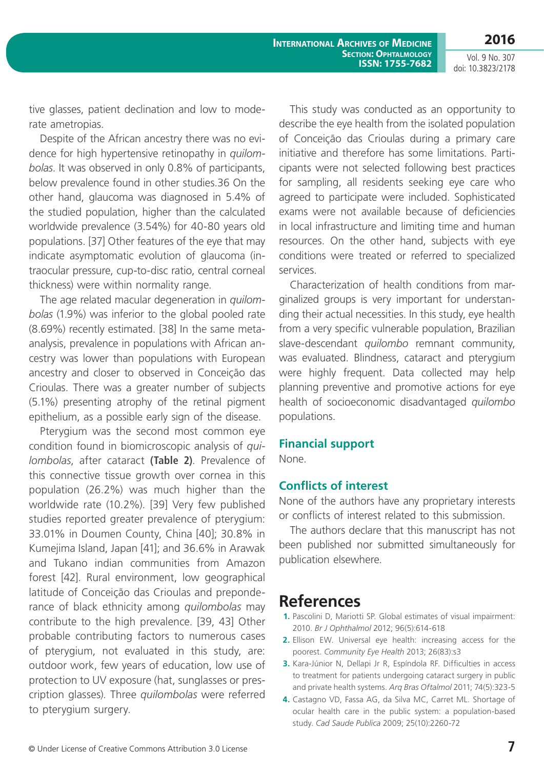tive glasses, patient declination and low to moderate ametropias.

Despite of the African ancestry there was no evidence for high hypertensive retinopathy in *quilombolas*. It was observed in only 0.8% of participants, below prevalence found in other studies.36 On the other hand, glaucoma was diagnosed in 5.4% of the studied population, higher than the calculated worldwide prevalence (3.54%) for 40-80 years old populations. [37] Other features of the eye that may indicate asymptomatic evolution of glaucoma (intraocular pressure, cup-to-disc ratio, central corneal thickness) were within normality range.

The age related macular degeneration in *quilombolas* (1.9%) was inferior to the global pooled rate (8.69%) recently estimated. [38] In the same metaanalysis, prevalence in populations with African ancestry was lower than populations with European ancestry and closer to observed in Conceição das Crioulas. There was a greater number of subjects (5.1%) presenting atrophy of the retinal pigment epithelium, as a possible early sign of the disease.

Pterygium was the second most common eye condition found in biomicroscopic analysis of *quilombolas*, after cataract **(Table 2)**. Prevalence of this connective tissue growth over cornea in this population (26.2%) was much higher than the worldwide rate (10.2%). [39] Very few published studies reported greater prevalence of pterygium: 33.01% in Doumen County, China [40]; 30.8% in Kumejima Island, Japan [41]; and 36.6% in Arawak and Tukano indian communities from Amazon forest [42]. Rural environment, low geographical latitude of Conceição das Crioulas and preponderance of black ethnicity among *quilombolas* may contribute to the high prevalence. [39, 43] Other probable contributing factors to numerous cases of pterygium, not evaluated in this study, are: outdoor work, few years of education, low use of protection to UV exposure (hat, sunglasses or prescription glasses). Three *quilombolas* were referred to pterygium surgery.

This study was conducted as an opportunity to describe the eye health from the isolated population of Conceição das Crioulas during a primary care initiative and therefore has some limitations. Participants were not selected following best practices for sampling, all residents seeking eye care who agreed to participate were included. Sophisticated exams were not available because of deficiencies in local infrastructure and limiting time and human resources. On the other hand, subjects with eye conditions were treated or referred to specialized services.

Characterization of health conditions from marginalized groups is very important for understanding their actual necessities. In this study, eye health from a very specific vulnerable population, Brazilian slave-descendant *quilombo* remnant community, was evaluated. Blindness, cataract and pterygium were highly frequent. Data collected may help planning preventive and promotive actions for eye health of socioeconomic disadvantaged *quilombo* populations.

### **Financial support**

None.

#### **Conflicts of interest**

None of the authors have any proprietary interests or conflicts of interest related to this submission.

The authors declare that this manuscript has not been published nor submitted simultaneously for publication elsewhere.

### **References**

- **1.** Pascolini D, Mariotti SP. Global estimates of visual impairment: 2010. *Br J Ophthalmol* 2012; 96(5):614-618
- **2.** Ellison EW. Universal eye health: increasing access for the poorest. *Community Eye Health* 2013; 26(83):s3
- **3.** Kara-Júnior N, Dellapi Jr R, Espíndola RF. Difficulties in access to treatment for patients undergoing cataract surgery in public and private health systems. *Arq Bras Oftalmol* 2011; 74(5):323-5
- **4.** Castagno VD, Fassa AG, da Silva MC, Carret ML. Shortage of ocular health care in the public system: a population-based study. *Cad Saude Publica* 2009; 25(10):2260-72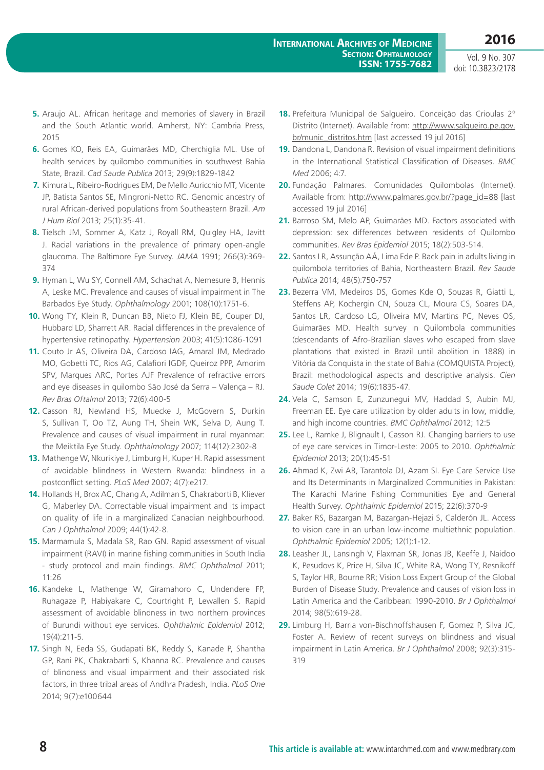- **5.** Araujo AL. African heritage and memories of slavery in Brazil and the South Atlantic world. Amherst, NY: Cambria Press, 2015
- **6.** Gomes KO, Reis EA, Guimarães MD, Cherchiglia ML. Use of health services by quilombo communities in southwest Bahia State, Brazil. *Cad Saude Publica* 2013; 29(9):1829-1842
- **7.** Kimura L, Ribeiro-Rodrigues EM, De Mello Auricchio MT, Vicente JP, Batista Santos SE, Mingroni-Netto RC. Genomic ancestry of rural African-derived populations from Southeastern Brazil. *Am J Hum Biol* 2013; 25(1):35-41.
- **8.** Tielsch JM, Sommer A, Katz J, Royall RM, Quigley HA, Javitt J. Racial variations in the prevalence of primary open-angle glaucoma. The Baltimore Eye Survey. *JAMA* 1991; 266(3):369- 374
- **9.** Hyman L, Wu SY, Connell AM, Schachat A, Nemesure B, Hennis A, Leske MC. Prevalence and causes of visual impairment in The Barbados Eye Study. *Ophthalmology* 2001; 108(10):1751-6.
- **10.** Wong TY, Klein R, Duncan BB, Nieto FJ, Klein BE, Couper DJ, Hubbard LD, Sharrett AR. Racial differences in the prevalence of hypertensive retinopathy. *Hypertension* 2003; 41(5):1086-1091
- **11.** Couto Jr AS, Oliveira DA, Cardoso IAG, Amaral JM, Medrado MO, Gobetti TC, Rios AG, Calafiori IGDF, Queiroz PPP, Amorim SPV, Marques ARC, Portes AJF Prevalence of refractive errors and eye diseases in quilombo São José da Serra – Valença – RJ. *Rev Bras Oftalmol* 2013; 72(6):400-5
- **12.** Casson RJ, Newland HS, Muecke J, McGovern S, Durkin S, Sullivan T, Oo TZ, Aung TH, Shein WK, Selva D, Aung T. Prevalence and causes of visual impairment in rural myanmar: the Meiktila Eye Study. *Ophthalmology* 2007; 114(12):2302-8
- **13.** Mathenge W, Nkurikiye J, Limburg H, Kuper H. Rapid assessment of avoidable blindness in Western Rwanda: blindness in a postconflict setting. *PLoS Med* 2007; 4(7):e217.
- **14.** Hollands H, Brox AC, Chang A, Adilman S, Chakraborti B, Kliever G, Maberley DA. Correctable visual impairment and its impact on quality of life in a marginalized Canadian neighbourhood. *Can J Ophthalmol* 2009; 44(1):42-8.
- **15.** Marmamula S, Madala SR, Rao GN. Rapid assessment of visual impairment (RAVI) in marine fishing communities in South India - study protocol and main findings. *BMC Ophthalmol* 2011; 11:26
- **16.** Kandeke L, Mathenge W, Giramahoro C, Undendere FP, Ruhagaze P, Habiyakare C, Courtright P, Lewallen S. Rapid assessment of avoidable blindness in two northern provinces of Burundi without eye services. *Ophthalmic Epidemiol* 2012; 19(4):211-5.
- **17.** Singh N, Eeda SS, Gudapati BK, Reddy S, Kanade P, Shantha GP, Rani PK, Chakrabarti S, Khanna RC. Prevalence and causes of blindness and visual impairment and their associated risk factors, in three tribal areas of Andhra Pradesh, India. *PLoS One* 2014; 9(7):e100644
- **18.** Prefeitura Municipal de Salgueiro. Conceição das Crioulas 2º Distrito (Internet). Available from: [http://www.salgueiro.pe.gov.](http://www.salgueiro.pe.gov.br/munic_distritos.htm) [br/munic\\_distritos.htm](http://www.salgueiro.pe.gov.br/munic_distritos.htm) [last accessed 19 jul 2016]
- **19.** Dandona L, Dandona R. Revision of visual impairment definitions in the International Statistical Classification of Diseases. *BMC Med* 2006; 4:7.
- **20.** Fundação Palmares. Comunidades Quilombolas (Internet). Available from: [http://www.palmares.gov.br/?page\\_id=88](http://www.palmares.gov.br/?page_id=88) [last accessed 19 jul 2016]
- **21.** Barroso SM, Melo AP, Guimarães MD. Factors associated with depression: sex differences between residents of Quilombo communities. *Rev Bras Epidemiol* 2015; 18(2):503-514.
- **22.** Santos LR, Assunção AÁ, Lima Ede P. Back pain in adults living in quilombola territories of Bahia, Northeastern Brazil. *Rev Saude Publica* 2014; 48(5):750-757
- **23.** Bezerra VM, Medeiros DS, Gomes Kde O, Souzas R, Giatti L, Steffens AP, Kochergin CN, Souza CL, Moura CS, Soares DA, Santos LR, Cardoso LG, Oliveira MV, Martins PC, Neves OS, Guimarães MD. Health survey in Quilombola communities (descendants of Afro-Brazilian slaves who escaped from slave plantations that existed in Brazil until abolition in 1888) in Vitória da Conquista in the state of Bahia (COMQUISTA Project), Brazil: methodological aspects and descriptive analysis. *Cien Saude Colet* 2014; 19(6):1835-47.
- **24.** Vela C, Samson E, Zunzunegui MV, Haddad S, Aubin MJ, Freeman EE. Eye care utilization by older adults in low, middle, and high income countries. *BMC Ophthalmol* 2012; 12:5
- **25.** Lee L, Ramke J, Blignault I, Casson RJ. Changing barriers to use of eye care services in Timor-Leste: 2005 to 2010. *Ophthalmic Epidemiol* 2013; 20(1):45-51
- **26.** Ahmad K, Zwi AB, Tarantola DJ, Azam SI. Eye Care Service Use and Its Determinants in Marginalized Communities in Pakistan: The Karachi Marine Fishing Communities Eye and General Health Survey. *Ophthalmic Epidemiol* 2015; 22(6):370-9
- **27.** Baker RS, Bazargan M, Bazargan-Hejazi S, Calderón JL. Access to vision care in an urban low-income multiethnic population. *Ophthalmic Epidemiol* 2005; 12(1):1-12.
- **28.** Leasher JL, Lansingh V, Flaxman SR, Jonas JB, Keeffe J, Naidoo K, Pesudovs K, Price H, Silva JC, White RA, Wong TY, Resnikoff S, Taylor HR, Bourne RR; Vision Loss Expert Group of the Global Burden of Disease Study. Prevalence and causes of vision loss in Latin America and the Caribbean: 1990-2010. *Br J Ophthalmol* 2014; 98(5):619-28.
- **29.** Limburg H, Barria von-Bischhoffshausen F, Gomez P, Silva JC, Foster A. Review of recent surveys on blindness and visual impairment in Latin America. *Br J Ophthalmol* 2008; 92(3):315- 319